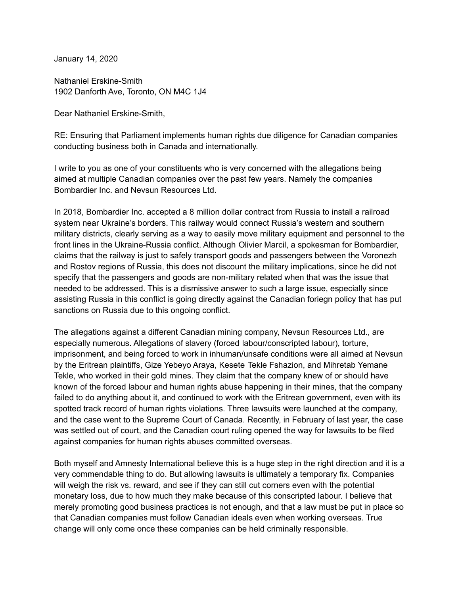January 14, 2020

Nathaniel Erskine-Smith 1902 Danforth Ave, Toronto, ON M4C 1J4

Dear Nathaniel Erskine-Smith,

RE: Ensuring that Parliament implements human rights due diligence for Canadian companies conducting business both in Canada and internationally.

I write to you as one of your constituents who is very concerned with the allegations being aimed at multiple Canadian companies over the past few years. Namely the companies Bombardier Inc. and Nevsun Resources Ltd.

In 2018, Bombardier Inc. accepted a 8 million dollar contract from Russia to install a railroad system near Ukraine's borders. This railway would connect Russia's western and southern military districts, clearly serving as a way to easily move military equipment and personnel to the front lines in the Ukraine-Russia conflict. Although Olivier Marcil, a spokesman for Bombardier, claims that the railway is just to safely transport goods and passengers between the Voronezh and Rostov regions of Russia, this does not discount the military implications, since he did not specify that the passengers and goods are non-military related when that was the issue that needed to be addressed. This is a dismissive answer to such a large issue, especially since assisting Russia in this conflict is going directly against the Canadian foriegn policy that has put sanctions on Russia due to this ongoing conflict.

The allegations against a different Canadian mining company, Nevsun Resources Ltd., are especially numerous. Allegations of slavery (forced labour/conscripted labour), torture, imprisonment, and being forced to work in inhuman/unsafe conditions were all aimed at Nevsun by the Eritrean plaintiffs, Gize Yebeyo Araya, Kesete Tekle Fshazion, and Mihretab Yemane Tekle, who worked in their gold mines. They claim that the company knew of or should have known of the forced labour and human rights abuse happening in their mines, that the company failed to do anything about it, and continued to work with the Eritrean government, even with its spotted track record of human rights violations. Three lawsuits were launched at the company, and the case went to the Supreme Court of Canada. Recently, in February of last year, the case was settled out of court, and the Canadian court ruling opened the way for lawsuits to be filed against companies for human rights abuses committed overseas.

Both myself and Amnesty International believe this is a huge step in the right direction and it is a very commendable thing to do. But allowing lawsuits is ultimately a temporary fix. Companies will weigh the risk vs. reward, and see if they can still cut corners even with the potential monetary loss, due to how much they make because of this conscripted labour. I believe that merely promoting good business practices is not enough, and that a law must be put in place so that Canadian companies must follow Canadian ideals even when working overseas. True change will only come once these companies can be held criminally responsible.